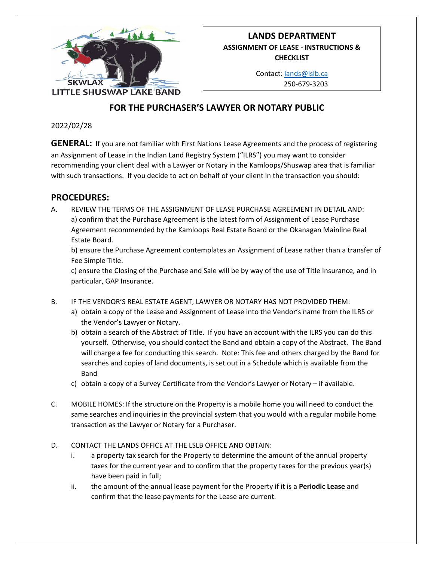

## **LANDS DEPARTMENT ASSIGNMENT OF LEASE - INSTRUCTIONS & CHECKLIST**

Contact: [lands@lslb.ca](mailto:lands@lslb.ca)  250-679-3203

## **FOR THE PURCHASER'S LAWYER OR NOTARY PUBLIC**

## 2022/02/28

**GENERAL:** If you are not familiar with First Nations Lease Agreements and the process of registering an Assignment of Lease in the Indian Land Registry System ("ILRS") you may want to consider recommending your client deal with a Lawyer or Notary in the Kamloops/Shuswap area that is familiar with such transactions. If you decide to act on behalf of your client in the transaction you should:

## **PROCEDURES:**

A. REVIEW THE TERMS OF THE ASSIGNMENT OF LEASE PURCHASE AGREEMENT IN DETAIL AND: a) confirm that the Purchase Agreement is the latest form of Assignment of Lease Purchase Agreement recommended by the Kamloops Real Estate Board or the Okanagan Mainline Real Estate Board.

b) ensure the Purchase Agreement contemplates an Assignment of Lease rather than a transfer of Fee Simple Title.

c) ensure the Closing of the Purchase and Sale will be by way of the use of Title Insurance, and in particular, GAP Insurance.

- B. IF THE VENDOR'S REAL ESTATE AGENT, LAWYER OR NOTARY HAS NOT PROVIDED THEM:
	- a) obtain a copy of the Lease and Assignment of Lease into the Vendor's name from the ILRS or the Vendor's Lawyer or Notary.
	- b) obtain a search of the Abstract of Title. If you have an account with the ILRS you can do this yourself. Otherwise, you should contact the Band and obtain a copy of the Abstract. The Band will charge a fee for conducting this search. Note: This fee and others charged by the Band for searches and copies of land documents, is set out in a Schedule which is available from the Band
	- c) obtain a copy of a Survey Certificate from the Vendor's Lawyer or Notary if available.
- C. MOBILE HOMES: If the structure on the Property is a mobile home you will need to conduct the same searches and inquiries in the provincial system that you would with a regular mobile home transaction as the Lawyer or Notary for a Purchaser.
- D. CONTACT THE LANDS OFFICE AT THE LSLB OFFICE AND OBTAIN:
	- i. a property tax search for the Property to determine the amount of the annual property taxes for the current year and to confirm that the property taxes for the previous year(s) have been paid in full;
	- ii. the amount of the annual lease payment for the Property if it is a **Periodic Lease** and confirm that the lease payments for the Lease are current.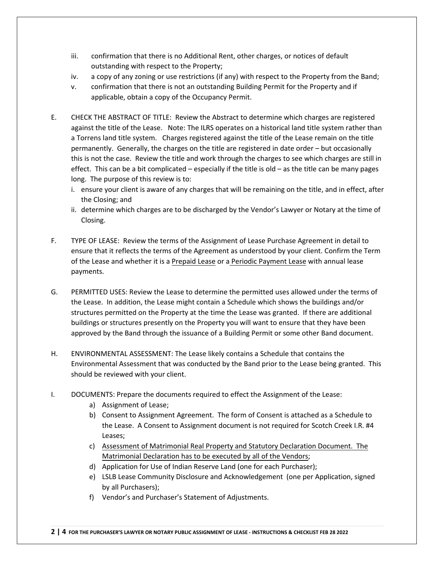- iii. confirmation that there is no Additional Rent, other charges, or notices of default outstanding with respect to the Property;
- iv. a copy of any zoning or use restrictions (if any) with respect to the Property from the Band;
- v. confirmation that there is not an outstanding Building Permit for the Property and if applicable, obtain a copy of the Occupancy Permit.
- E. CHECK THE ABSTRACT OF TITLE: Review the Abstract to determine which charges are registered against the title of the Lease. Note: The ILRS operates on a historical land title system rather than a Torrens land title system. Charges registered against the title of the Lease remain on the title permanently. Generally, the charges on the title are registered in date order – but occasionally this is not the case. Review the title and work through the charges to see which charges are still in effect. This can be a bit complicated – especially if the title is old – as the title can be many pages long. The purpose of this review is to:
	- i. ensure your client is aware of any charges that will be remaining on the title, and in effect, after the Closing; and
	- ii. determine which charges are to be discharged by the Vendor's Lawyer or Notary at the time of Closing.
- F. TYPE OF LEASE: Review the terms of the Assignment of Lease Purchase Agreement in detail to ensure that it reflects the terms of the Agreement as understood by your client. Confirm the Term of the Lease and whether it is a Prepaid Lease or a Periodic Payment Lease with annual lease payments.
- G. PERMITTED USES: Review the Lease to determine the permitted uses allowed under the terms of the Lease. In addition, the Lease might contain a Schedule which shows the buildings and/or structures permitted on the Property at the time the Lease was granted. If there are additional buildings or structures presently on the Property you will want to ensure that they have been approved by the Band through the issuance of a Building Permit or some other Band document.
- H. ENVIRONMENTAL ASSESSMENT: The Lease likely contains a Schedule that contains the Environmental Assessment that was conducted by the Band prior to the Lease being granted. This should be reviewed with your client.
- I. DOCUMENTS: Prepare the documents required to effect the Assignment of the Lease:
	- a) Assignment of Lease;
	- b) Consent to Assignment Agreement. The form of Consent is attached as a Schedule to the Lease. A Consent to Assignment document is not required for Scotch Creek I.R. #4 Leases;
	- c) Assessment of Matrimonial Real Property and Statutory Declaration Document. The [Matrimonial Declaration has to be executed by all of the Vendors;](https://www.sac-isc.gc.ca/DAM/DAM-ISC-SAC/DAM-FNDNG/STAGING/texte-text/assesment_matrimonial_Real_prop_statutary_declaration_filable_1560870441989_eng.pdf)
	- d) Application for Use of Indian Reserve Land (one for each Purchaser);
	- e) LSLB Lease Community Disclosure and Acknowledgement (one per Application, signed by all Purchasers);
	- f) Vendor's and Purchaser's Statement of Adjustments.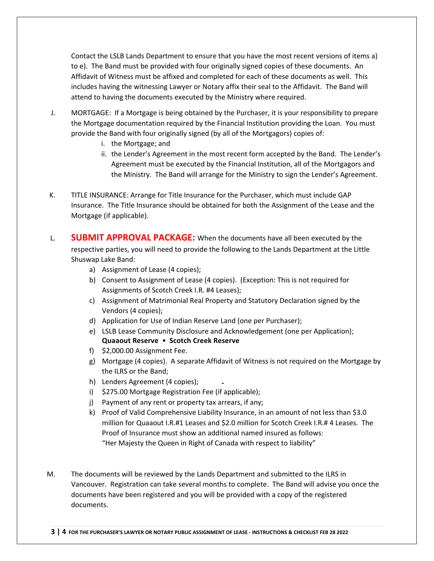Contact the LSLB Lands Department to ensure that you have the most recent versions of items a) to e). The Band must be provided with four originally signed copies of these documents. An Affidavit of Witness must be affixed and completed for each of these documents as well. This includes having the witnessing Lawyer or Notary affix their seal to the Affidavit. The Band will attend to having the documents executed by the Ministry where required.

- J. MORTGAGE: If a Mortgage is being obtained by the Purchaser, it is your responsibility to prepare the Mortgage documentation required by the Financial Institution providing the Loan. You must provide the Band with four originally signed (by all of the Mortgagors) copies of:
	- i. the Mortgage; and
	- ii. the Lender's Agreement in the most recent form accepted by the Band. The Lender's Agreement must be executed by the Financial Institution, all of the Mortgagors and the Ministry. The Band will arrange for the Ministry to sign the Lender's Agreement.
- K. TITLE INSURANCE: Arrange for Title Insurance for the Purchaser, which must include GAP Insurance. The Title Insurance should be obtained for both the Assignment of the Lease and the Mortgage (if applicable).
- L. **SUBMIT APPROVAL PACKAGE:** When the documents have all been executed by the respective parties, you will need to provide the following to the Lands Department at the Little Shuswap Lake Band:
	- a) Assignment of Lease (4 copies);
	- b) Consent to Assignment of Lease (4 copies). (Exception: This is not required for Assignments of Scotch Creek I.R. #4 Leases);
	- c) Assignment of Matrimonial Real Property and Statutory Declaration signed by the Vendors (4 copies);
	- d) [Application for Use of Indian Reserve Land \(one per](https://ec49c248-5f32-4a4f-92b0-e87777d65948.usrfiles.com/ugd/ec49c2_6f33cdaf477e474ba9b416011334cd4d.pdf) Purchaser);
	- e) LSLB Lease Community Disclosure and Acknowledgement (one per Application); **[Quaaout Reserve](https://www.lslb.ca/_files/ugd/ec49c2_07032cee94364611b216572ee06d2b63.pdf)** • **[Scotch Creek Reserve](https://www.lslb.ca/_files/ugd/ec49c2_b6f5874f1f6d49f98a5226a14ce25f4a.pdf)**
	- f) \$2,000.00 Assignment Fee.
	- g) Mortgage (4 copies). A separate Affidavit of Witness is not required on the Mortgage by the ILRS or the Band;
	- h) Lenders Agreement (4 copies);
	- i) \$275.00 Mortgage Registration Fee (if applicable);
	- j) Payment of any rent or property tax arrears, if any;
	- k) Proof of Valid Comprehensive Liability Insurance, in an amount of not less than \$3.0 million for Quaaout I.R.#1 Leases and \$2.0 million for Scotch Creek I.R.# 4 Leases. The Proof of Insurance must show an additional named insured as follows: "Her Majesty the Queen in Right of Canada with respect to liability"
- M. The documents will be reviewed by the Lands Department and submitted to the ILRS in Vancouver. Registration can take several months to complete. The Band will advise you once the documents have been registered and you will be provided with a copy of the registered documents.

**3 | 4 FOR THE PURCHASER'S LAWYER OR NOTARY PUBLIC ASSIGNMENT OF LEASE - INSTRUCTIONS & CHECKLIST FEB 28 2022**